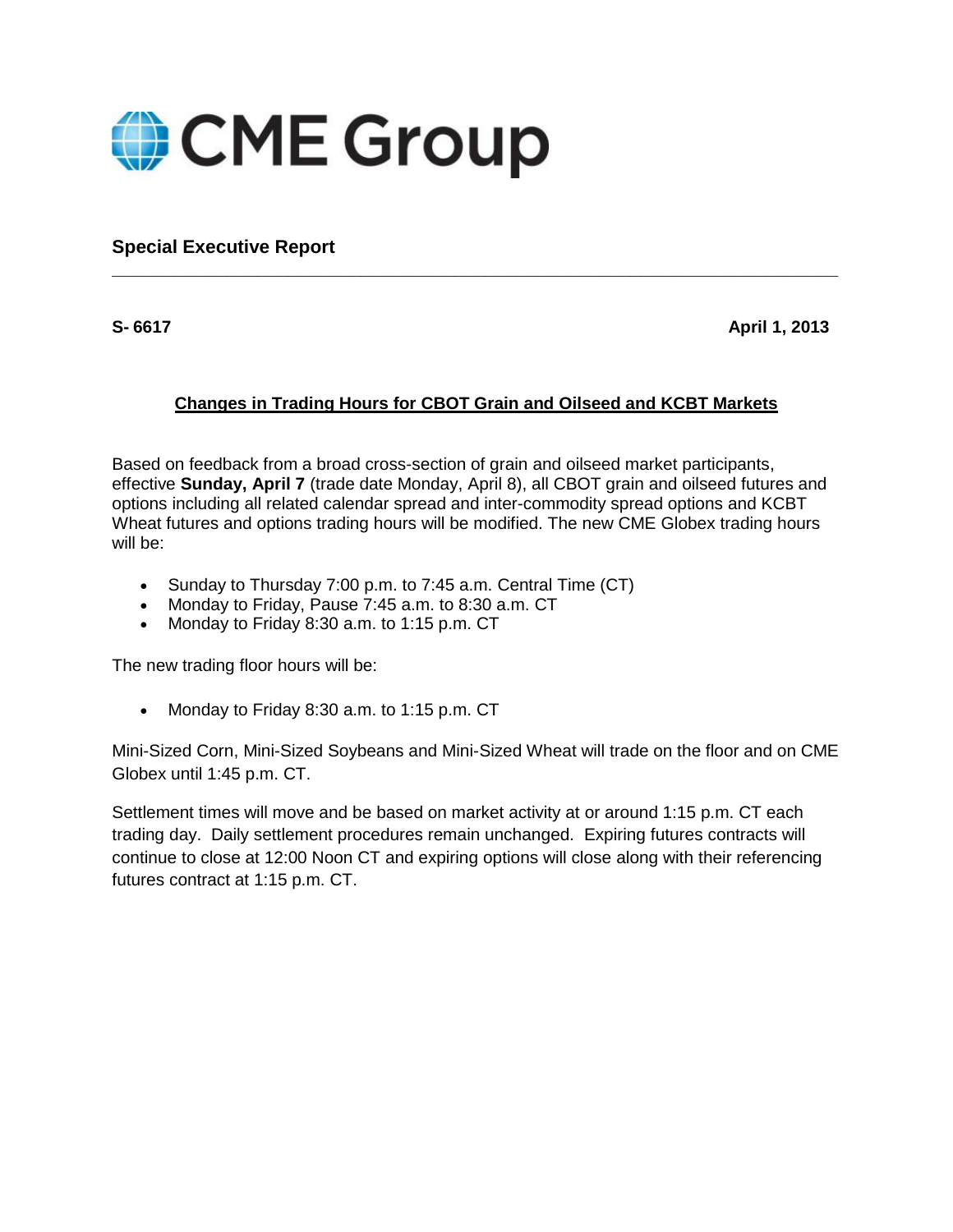

**Special Executive Report**

**S- 6617 April 1, 2013**

## **Changes in Trading Hours for CBOT Grain and Oilseed and KCBT Markets**

**\_\_\_\_\_\_\_\_\_\_\_\_\_\_\_\_\_\_\_\_\_\_\_\_\_\_\_\_\_\_\_\_\_\_\_\_\_\_\_\_\_\_\_\_\_\_\_\_\_\_\_\_\_\_\_\_\_\_\_\_\_\_\_\_\_\_\_\_\_\_**

Based on feedback from a broad cross-section of grain and oilseed market participants, effective **Sunday, April 7** (trade date Monday, April 8), all CBOT grain and oilseed futures and options including all related calendar spread and inter-commodity spread options and KCBT Wheat futures and options trading hours will be modified. The new CME Globex trading hours will be:

- Sunday to Thursday 7:00 p.m. to 7:45 a.m. Central Time (CT)
- Monday to Friday, Pause 7:45 a.m. to 8:30 a.m. CT
- Monday to Friday 8:30 a.m. to 1:15 p.m. CT

The new trading floor hours will be:

• Monday to Friday 8:30 a.m. to 1:15 p.m. CT

Mini-Sized Corn, Mini-Sized Soybeans and Mini-Sized Wheat will trade on the floor and on CME Globex until 1:45 p.m. CT.

Settlement times will move and be based on market activity at or around 1:15 p.m. CT each trading day. Daily settlement procedures remain unchanged. Expiring futures contracts will continue to close at 12:00 Noon CT and expiring options will close along with their referencing futures contract at 1:15 p.m. CT.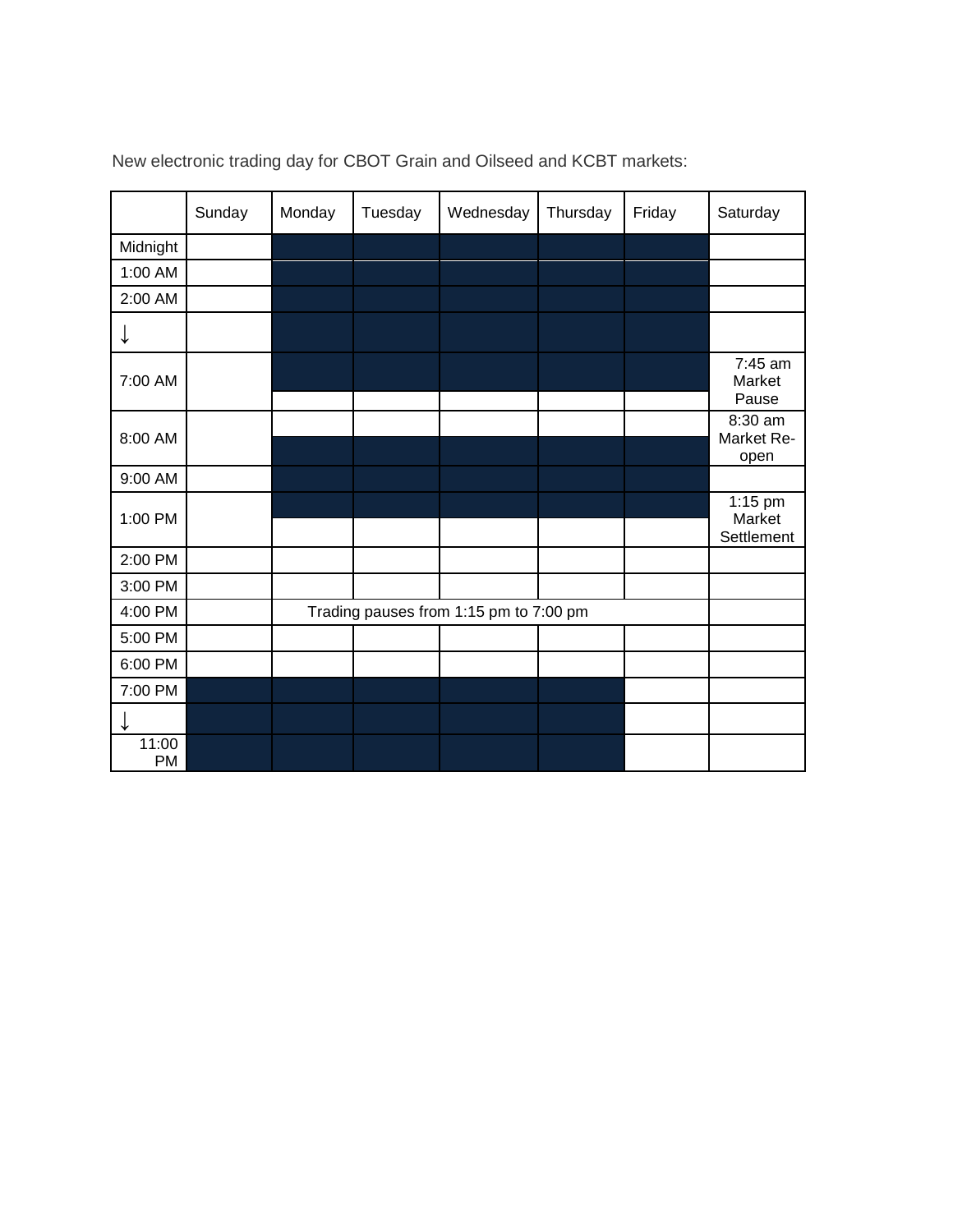|                    | Sunday | Monday                                 | Tuesday | Wednesday | Thursday | Friday | Saturday                          |
|--------------------|--------|----------------------------------------|---------|-----------|----------|--------|-----------------------------------|
| Midnight           |        |                                        |         |           |          |        |                                   |
| 1:00 AM            |        |                                        |         |           |          |        |                                   |
| 2:00 AM            |        |                                        |         |           |          |        |                                   |
| ↓                  |        |                                        |         |           |          |        |                                   |
| 7:00 AM            |        |                                        |         |           |          |        | 7:45 am<br>Market<br>Pause        |
| 8:00 AM            |        |                                        |         |           |          |        | 8:30 am<br>Market Re-<br>open     |
| 9:00 AM            |        |                                        |         |           |          |        |                                   |
| 1:00 PM            |        |                                        |         |           |          |        | $1:15$ pm<br>Market<br>Settlement |
| 2:00 PM            |        |                                        |         |           |          |        |                                   |
| 3:00 PM            |        |                                        |         |           |          |        |                                   |
| 4:00 PM            |        | Trading pauses from 1:15 pm to 7:00 pm |         |           |          |        |                                   |
| 5:00 PM            |        |                                        |         |           |          |        |                                   |
| 6:00 PM            |        |                                        |         |           |          |        |                                   |
| 7:00 PM            |        |                                        |         |           |          |        |                                   |
|                    |        |                                        |         |           |          |        |                                   |
| 11:00<br><b>PM</b> |        |                                        |         |           |          |        |                                   |

New electronic trading day for CBOT Grain and Oilseed and KCBT markets: